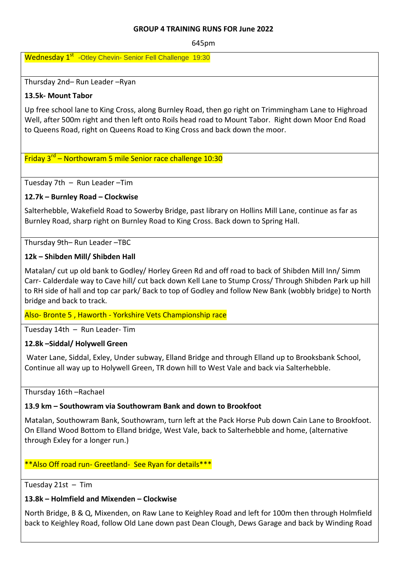#### **GROUP 4 TRAINING RUNS FOR June 2022**

645pm

Wednesday 1<sup>st</sup> -Otley Chevin- Senior Fell Challenge 19:30

Thursday 2nd– Run Leader –Ryan

## **13.5k- Mount Tabor**

Up free school lane to King Cross, along Burnley Road, then go right on Trimmingham Lane to Highroad Well, after 500m right and then left onto Roils head road to Mount Tabor. Right down Moor End Road to Queens Road, right on Queens Road to King Cross and back down the moor.

# Friday 3<sup>rd</sup> – Northowram 5 mile Senior race challenge 10:30

Tuesday 7th – Run Leader –Tim

# **12.7k – Burnley Road – Clockwise**

Salterhebble, Wakefield Road to Sowerby Bridge, past library on Hollins Mill Lane, continue as far as Burnley Road, sharp right on Burnley Road to King Cross. Back down to Spring Hall.

Thursday 9th– Run Leader –TBC

# **12k – Shibden Mill/ Shibden Hall**

Matalan/ cut up old bank to Godley/ Horley Green Rd and off road to back of Shibden Mill Inn/ Simm Carr- Calderdale way to Cave hill/ cut back down Kell Lane to Stump Cross/ Through Shibden Park up hill to RH side of hall and top car park/ Back to top of Godley and follow New Bank (wobbly bridge) to North bridge and back to track.

Also- Bronte 5 , Haworth - Yorkshire Vets Championship race

Tuesday 14th – Run Leader- Tim

### **12.8k –Siddal/ Holywell Green**

Water Lane, Siddal, Exley, Under subway, Elland Bridge and through Elland up to Brooksbank School, Continue all way up to Holywell Green, TR down hill to West Vale and back via Salterhebble.

Thursday 16th –Rachael

### **13.9 km – Southowram via Southowram Bank and down to Brookfoot**

Matalan, Southowram Bank, Southowram, turn left at the Pack Horse Pub down Cain Lane to Brookfoot. On Elland Wood Bottom to Elland bridge, West Vale, back to Salterhebble and home, (alternative through Exley for a longer run.)

### \*\*Also Off road run- Greetland- See Ryan for details\*\*\*

Tuesday 21st – Tim

### **13.8k – Holmfield and Mixenden – Clockwise**

North Bridge, B & Q, Mixenden, on Raw Lane to Keighley Road and left for 100m then through Holmfield back to Keighley Road, follow Old Lane down past Dean Clough, Dews Garage and back by Winding Road